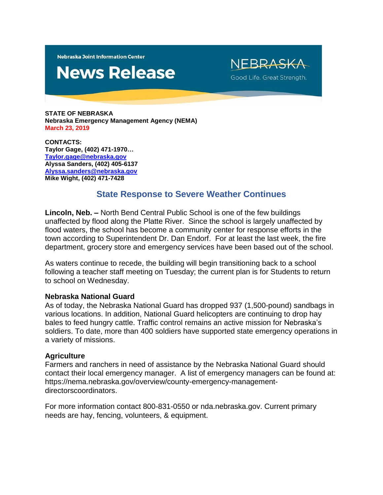**Nebraska Joint Information Center** 

# **News Release**

NEBRASKA Good Life. Great Strength.

**STATE OF NEBRASKA Nebraska Emergency Management Agency (NEMA) March 23, 2019**

**CONTACTS: Taylor Gage, (402) 471-1970… [Taylor.gage@nebraska.gov](mailto:Taylor.gage@nebraska.gov) Alyssa Sanders, (402) 405-6137 [Alyssa.sanders@nebraska.gov](mailto:Alyssa.sanders@nebraska.gov) Mike Wight, (402) 471-7428**

# **State Response to Severe Weather Continues**

**Lincoln, Neb. –** North Bend Central Public School is one of the few buildings unaffected by flood along the Platte River. Since the school is largely unaffected by flood waters, the school has become a community center for response efforts in the town according to Superintendent Dr. Dan Endorf. For at least the last week, the fire department, grocery store and emergency services have been based out of the school.

As waters continue to recede, the building will begin transitioning back to a school following a teacher staff meeting on Tuesday; the current plan is for Students to return to school on Wednesday.

### **Nebraska National Guard**

As of today, the Nebraska National Guard has dropped 937 (1,500-pound) sandbags in various locations. In addition, National Guard helicopters are continuing to drop hay bales to feed hungry cattle. Traffic control remains an active mission for Nebraska's soldiers. To date, more than 400 soldiers have supported state emergency operations in a variety of missions.

#### **Agriculture**

Farmers and ranchers in need of assistance by the Nebraska National Guard should contact their local emergency manager. A list of emergency managers can be found at: https://nema.nebraska.gov/overview/county-emergency-managementdirectorscoordinators.

For more information contact 800-831-0550 or nda.nebraska.gov. Current primary needs are hay, fencing, volunteers, & equipment.